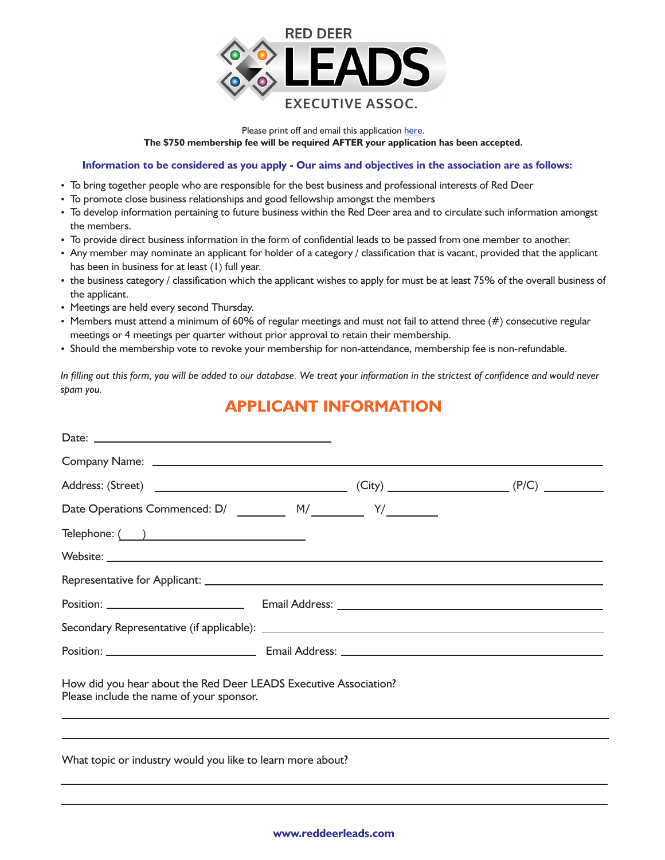

**The \$750 membership fee will be required AFTER your application has been accepted.**  Please print off and email this application [here](mailto:tammys@speedpro.com).

## **Information to be considered as you apply - Our aims and objectives in the association are as follows:**

- To bring together people who are responsible for the best business and professional interests of Red Deer
- To promote close business relationships and good fellowship amongst the members
- To develop information pertaining to future business within the Red Deer area and to circulate such information amongst the members.
- To provide direct business information in the form of confidential leads to be passed from one member to another.
- Any member may nominate an applicant for holder of a category / classification that is vacant, provided that the applicant has been in business for at least (1) full year.
- the business category / classification which the applicant wishes to apply for must be at least 75% of the overall business of the applicant.
- Meetings are held every second Thursday.
- $\bullet$  Members must attend a minimum of 60% of regular meetings and must not fail to attend three (#) consecutive regular meetings or 4 meetings per quarter without prior approval to retain their membership.
- Should the membership vote to revoke your membership for non-attendance, membership fee is non-refundable.

*In filling out this form, you will be added to our database. We treat your information in the strictest of confidence and would never spam you.* 

## **APPLICANT INFORMATION**

| Date Operations Commenced: D/ __________ M/____________ Y/_________                                          |  |
|--------------------------------------------------------------------------------------------------------------|--|
|                                                                                                              |  |
|                                                                                                              |  |
|                                                                                                              |  |
|                                                                                                              |  |
|                                                                                                              |  |
|                                                                                                              |  |
| How did you hear about the Red Deer LEADS Executive Association?<br>Please include the name of your sponsor. |  |
|                                                                                                              |  |
| What topic or industry would you like to learn more about?                                                   |  |
|                                                                                                              |  |